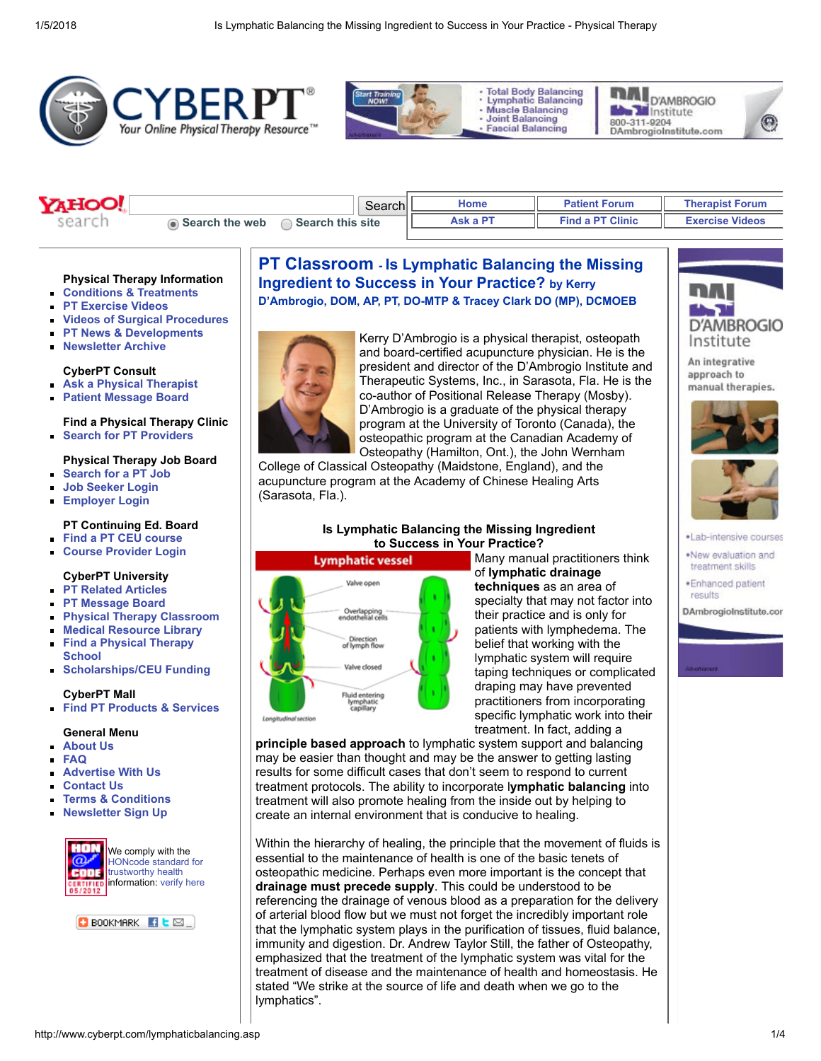









## Physical Therapy Information

- [Conditions & Treatments](http://www.cyberpt.com/cptcondtrtlistnov21.asp)
- [PT Exercise Videos](http://www.cyberpt.com/cptvidlist.asp)
- [Videos of Surgical Procedures](http://www.cyberpt.com/surgicalprocedures.asp)
- [PT News & Developments](http://www.cyberpt.com/physicaltherapynews.asp)  $\blacksquare$
- [Newsletter Archive](http://archive.constantcontact.com/fs083/1102039761957/archive/1102125571410.html)

### CyberPT Consult

- [Ask a Physical Therapist](http://www.cyberpt.com/cyberptconsultb.asp)
- [Patient Message Board](http://www.cyberpt.com/ptforum/default.asp?C=4)  $\blacksquare$

### Find a Physical Therapy Clinic **[Search for PT Providers](http://www.cyberpt.com/clinic/PTClinic.asp)**

### Physical Therapy Job Board

- [Search for a PT Job](http://www.cyberpt.com/jbent)  $\blacksquare$
- [Job Seeker Login](http://www.cyberpt.com/jbent/seeker_login.asp)
- [Employer Login](http://www.cyberpt.com/jbent/employerlogin.asp)  $\blacksquare$

### PT Continuing Ed. Board

- [Find a PT CEU course](http://www.cyberpt.com/ceb)
- [Course Provider Login](http://www.cyberpt.com/ceb/admin/employerlogin.asp)

## CyberPT University

- [PT Related Articles](http://www.cyberpt.com/cyberptarticlearchive.asp)
- [PT Message Board](http://www.cyberpt.com/ptforum)
- [Physical Therapy Classroom](http://www.cyberpt.com/CyberPTclassroom.asp)  $\blacksquare$
- [Medical Resource Library](http://www.cyberpt.com/CyberPTmedlib.asp)
- [Find a Physical Therapy](http://www.cyberpt.com/CyberPTFindaPTSchool.asp) **School**
- **[Scholarships/CEU Funding](http://www.cyberpt.com/CyberPTscholar.asp)**

### CyberPT Mall

[Find PT Products & Services](http://www.cyberpt.com/physicaltherapysuppliesequipment.asp)

#### General Menu

- [About Us](http://www.cyberpt.com/cyberptaboutus.asp)
- [FAQ](http://www.cyberpt.com/CyberPTfaq.asp)

 $\blacksquare$ 

- [Advertise With Us](http://www.cyberpt.com/cptadwithus.asp)
- [Contact Us](http://www.cyberpt.com/cyberptquescom.asp)
- [Terms & Conditions](http://www.cyberpt.com/CyberPTtermscond.asp)
- [Newsletter Sign Up](http://visitor.constantcontact.com/manage/optin/ea?v=0016kgdmuAR3nBZDI4TO89RPQ%3D%3D)



information: [verify here](https://www.hon.ch/HONcode/Conduct.html?HONConduct237955)



# PT Classroom - Is Lymphatic Balancing the Missing Ingredient to Success in Your Practice? by Kerry D'Ambrogio, DOM, AP, PT, DO-MTP & Tracey Clark DO (MP), DCMOEB



Kerry D'Ambrogio is a physical therapist, osteopath and board-certified acupuncture physician. He is the president and director of the D'Ambrogio Institute and Therapeutic Systems, Inc., in Sarasota, Fla. He is the co-author of Positional Release Therapy (Mosby). D'Ambrogio is a graduate of the physical therapy program at the University of Toronto (Canada), the osteopathic program at the Canadian Academy of Osteopathy (Hamilton, Ont.), the John Wernham

College of Classical Osteopathy (Maidstone, England), and the acupuncture program at the Academy of Chinese Healing Arts (Sarasota, Fla.).

# Is Lymphatic Balancing the Missing Ingredient to Success in Your Practice?



Many manual practitioners think of lymphatic drainage techniques as an area of specialty that may not factor into their practice and is only for patients with lymphedema. The belief that working with the lymphatic system will require taping techniques or complicated draping may have prevented practitioners from incorporating specific lymphatic work into their treatment. In fact, adding a

principle based approach to lymphatic system support and balancing may be easier than thought and may be the answer to getting lasting results for some difficult cases that don't seem to respond to current treatment protocols. The ability to incorporate lymphatic balancing into treatment will also promote healing from the inside out by helping to create an internal environment that is conducive to healing.

Within the hierarchy of healing, the principle that the movement of fluids is essential to the maintenance of health is one of the basic tenets of osteopathic medicine. Perhaps even more important is the concept that drainage must precede supply. This could be understood to be referencing the drainage of venous blood as a preparation for the delivery of arterial blood flow but we must not forget the incredibly important role that the lymphatic system plays in the purification of tissues, fluid balance, immunity and digestion. Dr. Andrew Taylor Still, the father of Osteopathy, emphasized that the treatment of the lymphatic system was vital for the treatment of disease and the maintenance of health and homeostasis. He stated "We strike at the source of life and death when we go to the lymphatics".



⊙

An integrative approach to manual therapies.





- ·Lab-intensive courses
- .New evaluation and treatment skills
- ·Enhanced patient results

DAmbrogioInstitute.con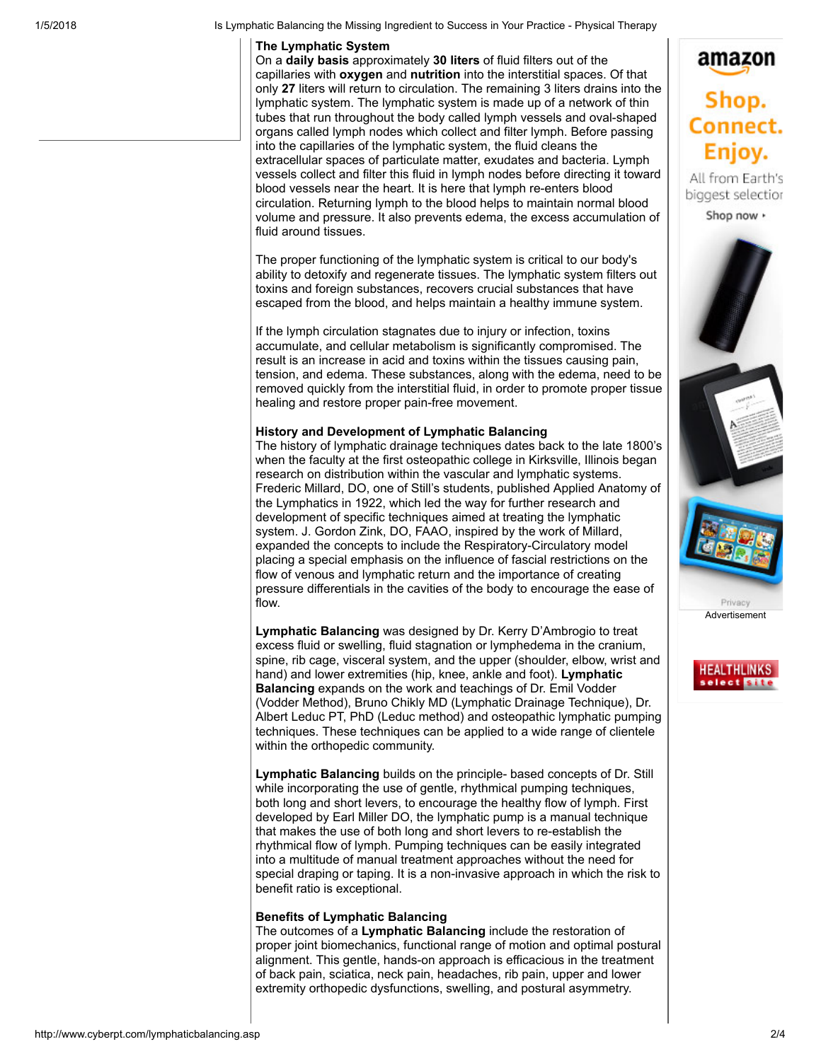1/5/2018 Is Lymphatic Balancing the Missing Ingredient to Success in Your Practice - Physical Therapy

## The Lymphatic System

On a daily basis approximately 30 liters of fluid filters out of the capillaries with **oxygen** and **nutrition** into the interstitial spaces. Of that only 27 liters will return to circulation. The remaining 3 liters drains into the lymphatic system. The lymphatic system is made up of a network of thin tubes that run throughout the body called lymph vessels and oval-shaped organs called lymph nodes which collect and filter lymph. Before passing into the capillaries of the lymphatic system, the fluid cleans the extracellular spaces of particulate matter, exudates and bacteria. Lymph vessels collect and filter this fluid in lymph nodes before directing it toward blood vessels near the heart. It is here that lymph re-enters blood circulation. Returning lymph to the blood helps to maintain normal blood volume and pressure. It also prevents edema, the excess accumulation of fluid around tissues.

The proper functioning of the lymphatic system is critical to our body's ability to detoxify and regenerate tissues. The lymphatic system filters out toxins and foreign substances, recovers crucial substances that have escaped from the blood, and helps maintain a healthy immune system.

If the lymph circulation stagnates due to injury or infection, toxins accumulate, and cellular metabolism is significantly compromised. The result is an increase in acid and toxins within the tissues causing pain, tension, and edema. These substances, along with the edema, need to be removed quickly from the interstitial fluid, in order to promote proper tissue healing and restore proper pain-free movement.

## History and Development of Lymphatic Balancing

The history of lymphatic drainage techniques dates back to the late 1800's when the faculty at the first osteopathic college in Kirksville, Illinois began research on distribution within the vascular and lymphatic systems. Frederic Millard, DO, one of Still's students, published Applied Anatomy of the Lymphatics in 1922, which led the way for further research and development of specific techniques aimed at treating the lymphatic system. J. Gordon Zink, DO, FAAO, inspired by the work of Millard, expanded the concepts to include the Respiratory-Circulatory model placing a special emphasis on the influence of fascial restrictions on the flow of venous and lymphatic return and the importance of creating pressure differentials in the cavities of the body to encourage the ease of flow.

Lymphatic Balancing was designed by Dr. Kerry D'Ambrogio to treat excess fluid or swelling, fluid stagnation or lymphedema in the cranium, spine, rib cage, visceral system, and the upper (shoulder, elbow, wrist and hand) and lower extremities (hip, knee, ankle and foot). Lymphatic Balancing expands on the work and teachings of Dr. Emil Vodder (Vodder Method), Bruno Chikly MD (Lymphatic Drainage Technique), Dr. Albert Leduc PT, PhD (Leduc method) and osteopathic lymphatic pumping techniques. These techniques can be applied to a wide range of clientele within the orthopedic community.

Lymphatic Balancing builds on the principle- based concepts of Dr. Still while incorporating the use of gentle, rhythmical pumping techniques, both long and short levers, to encourage the healthy flow of lymph. First developed by Earl Miller DO, the lymphatic pump is a manual technique that makes the use of both long and short levers to re-establish the rhythmical flow of lymph. Pumping techniques can be easily integrated into a multitude of manual treatment approaches without the need for special draping or taping. It is a non-invasive approach in which the risk to benefit ratio is exceptional.

# Benefits of Lymphatic Balancing

The outcomes of a Lymphatic Balancing include the restoration of proper joint biomechanics, functional range of motion and optimal postural alignment. This gentle, hands-on approach is efficacious in the treatment of back pain, sciatica, neck pain, headaches, rib pain, upper and lower extremity orthopedic dysfunctions, swelling, and postural asymmetry.





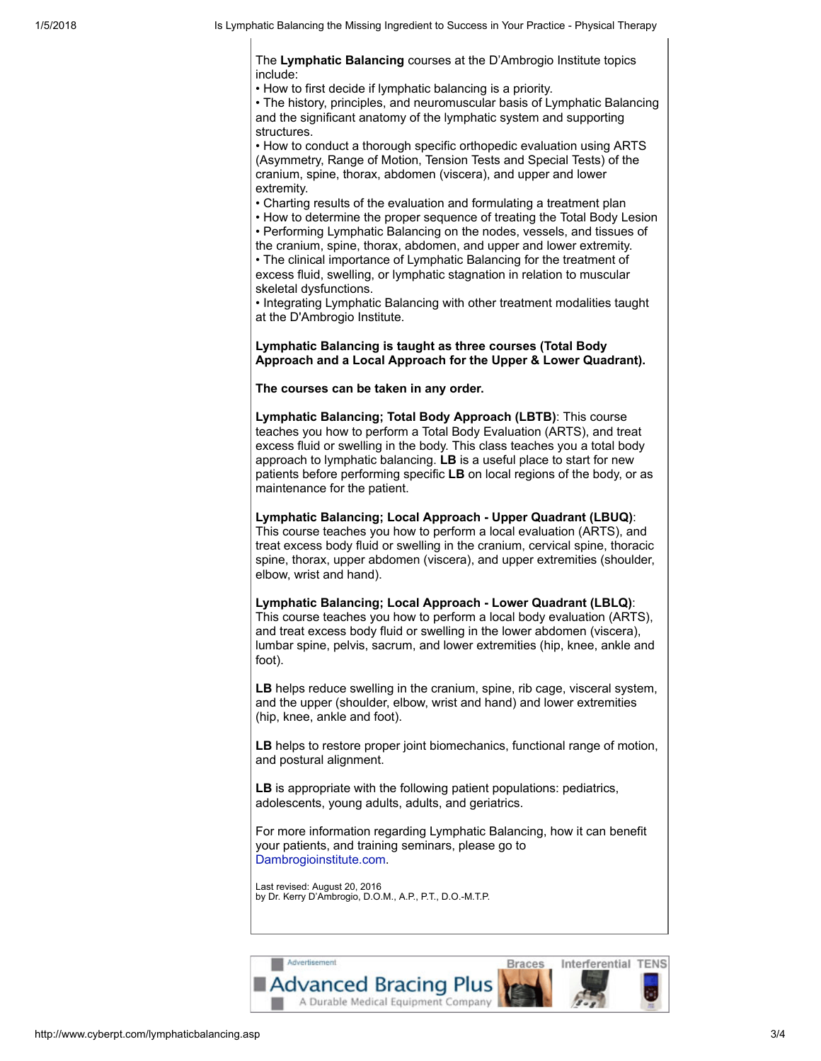The Lymphatic Balancing courses at the D'Ambrogio Institute topics include:

• How to first decide if lymphatic balancing is a priority.

• The history, principles, and neuromuscular basis of Lymphatic Balancing and the significant anatomy of the lymphatic system and supporting structures.

• How to conduct a thorough specific orthopedic evaluation using ARTS (Asymmetry, Range of Motion, Tension Tests and Special Tests) of the cranium, spine, thorax, abdomen (viscera), and upper and lower extremity.

• Charting results of the evaluation and formulating a treatment plan

• How to determine the proper sequence of treating the Total Body Lesion • Performing Lymphatic Balancing on the nodes, vessels, and tissues of the cranium, spine, thorax, abdomen, and upper and lower extremity. • The clinical importance of Lymphatic Balancing for the treatment of excess fluid, swelling, or lymphatic stagnation in relation to muscular skeletal dysfunctions.

• Integrating Lymphatic Balancing with other treatment modalities taught at the D'Ambrogio Institute.

## Lymphatic Balancing is taught as three courses (Total Body Approach and a Local Approach for the Upper & Lower Quadrant).

The courses can be taken in any order.

Lymphatic Balancing; Total Body Approach (LBTB): This course teaches you how to perform a Total Body Evaluation (ARTS), and treat excess fluid or swelling in the body. This class teaches you a total body approach to lymphatic balancing. LB is a useful place to start for new patients before performing specific LB on local regions of the body, or as maintenance for the patient.

Lymphatic Balancing; Local Approach - Upper Quadrant (LBUQ): This course teaches you how to perform a local evaluation (ARTS), and treat excess body fluid or swelling in the cranium, cervical spine, thoracic spine, thorax, upper abdomen (viscera), and upper extremities (shoulder, elbow, wrist and hand).

### Lymphatic Balancing; Local Approach - Lower Quadrant (LBLQ): This course teaches you how to perform a local body evaluation (ARTS), and treat excess body fluid or swelling in the lower abdomen (viscera), lumbar spine, pelvis, sacrum, and lower extremities (hip, knee, ankle and foot).

LB helps reduce swelling in the cranium, spine, rib cage, visceral system, and the upper (shoulder, elbow, wrist and hand) and lower extremities (hip, knee, ankle and foot).

LB helps to restore proper joint biomechanics, functional range of motion, and postural alignment.

LB is appropriate with the following patient populations: pediatrics, adolescents, young adults, adults, and geriatrics.

For more information regarding Lymphatic Balancing, how it can benefit your patients, and training seminars, please go to [Dambrogioinstitute.com.](http://www.dambrogioinstitute.com/)

Last revised: August 20, 2016 by Dr. Kerry D'Ambrogio, D.O.M., A.P., P.T., D.O.-M.T.P.